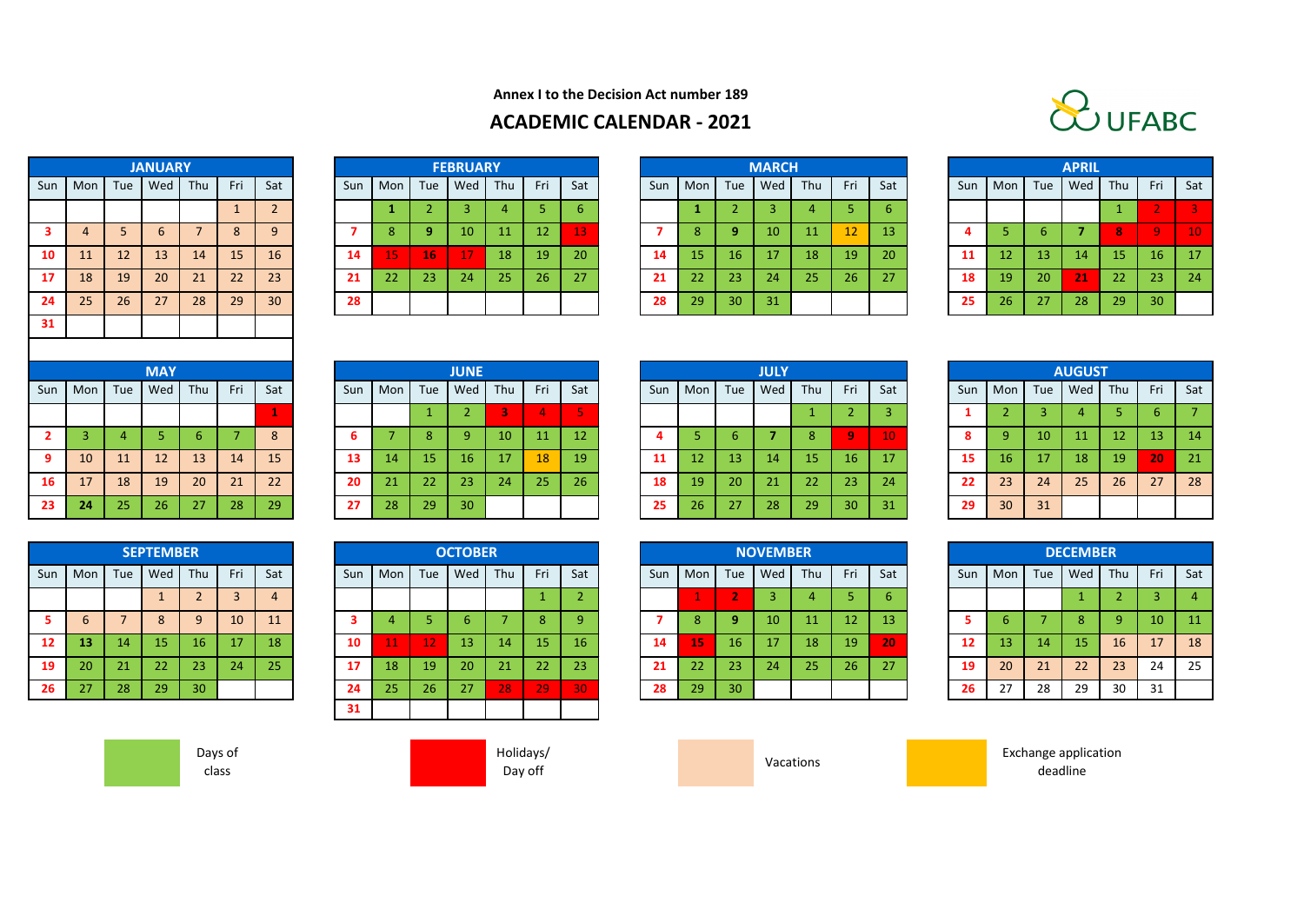

**Annex I to the Decision Act number 189**

## **ACADEMIC CALENDAR - 2021**

|                         |                |     | <b>JANUARY</b>  |                |              |                      |
|-------------------------|----------------|-----|-----------------|----------------|--------------|----------------------|
| Sun                     | Mon            | Tue | Wed             | Thu            | Fri          | S                    |
|                         |                |     |                 |                | $\mathbf{1}$ | $\ddot{\phantom{0}}$ |
| $\overline{\mathbf{3}}$ | $\overline{4}$ | 5   | $6\phantom{1}6$ | $\overline{7}$ | 8            | $\ddot{\cdot}$       |
| 10                      | 11             | 12  | 13              | 14             | 15           | $\overline{1}$       |
| 17                      | 18             | 19  | 20              | 21             | 22           | $\overline{2}$       |
| 24                      | 25             | 26  | 27              | 28             | 29           | $\overline{3}$       |
| 31                      |                |     |                 |                |              |                      |
|                         |                |     |                 |                |              |                      |
|                         |                |     | <b>MAY</b>      |                |              |                      |

| <b>JANUARY</b> |     |     |         |     |     |     | <b>FEBRUARY</b> |     |     |     |     |     |     | <b>MARCH</b> |  |
|----------------|-----|-----|---------|-----|-----|-----|-----------------|-----|-----|-----|-----|-----|-----|--------------|--|
| Wed            | Thu | Fri | Sat     | Sun | Mon | Tue | Wed             | Thu | Fri | Sat | Sun | Mon | Tue | Wed          |  |
|                |     |     | ำ<br>z. |     |     |     | 3               | 4   | 5   | 6   |     |     | ∠   | 3            |  |
| 6              |     | 8   | 9       |     | 8   | ٩   | 10              | 11  | 12  | 13  |     | 8   | 9   | 10           |  |
| 13             | 14  | 15  | 16      | 14  | 15  | 16  | 17              | 18  | 19  | 20  | 14  | 15  | 16  | 17           |  |
| 20             | 21  | 22  | 23      | 21  | 22  | 23  | 24              | 25  | 26  | 27  | 21  | 22  | 23  | 24           |  |
| 27             | 28  | 29  | 30      | 28  |     |     |                 |     |     |     | 28  | 29  | 30  | 31           |  |

|                 |     |           | <b>JANUARY</b> |     |     |                 |     |     |     | <b>FEBRUARY</b> |         |     |     |     |     |     | <b>MARCH</b> |     |                 |     |     |     |     | <b>APRIL</b> |     |                 |     |
|-----------------|-----|-----------|----------------|-----|-----|-----------------|-----|-----|-----|-----------------|---------|-----|-----|-----|-----|-----|--------------|-----|-----------------|-----|-----|-----|-----|--------------|-----|-----------------|-----|
| Sun             | Mon | Tue       | Wed            | Thu | Fri | Sat             | Sun | Mon | Tue |                 | Wed Thu | Fri | Sat | Sun | Mon | Tue | Wed          | Thu | Fri             | Sat | Sun | Mon | Tue | Wed          | Thu | Fri             | Sat |
|                 |     |           |                |     |     |                 |     |     |     |                 |         |     |     |     |     |     |              |     |                 |     |     |     |     |              |     |                 |     |
| 3.              |     |           | b              |     | 8   | 9               |     |     | o   | 10              |         | 12  | 13  |     | 8.  |     | 10           |     | 12              | 13  |     |     |     |              |     |                 |     |
| 10              |     | <b>12</b> | 13             | 14  | 15  | 16              | 14  |     | 16  | 17              | 18      | 19  | 20  | 14  | 15. | 16  |              | 18  | 19              | -20 | 11  | 12  | 13  | 14.          | 15  | 16              | 17  |
| 17 <sup>7</sup> | 18  | 19        | 20             | 21  | 22  | 23              | 21  | 22  | 23  | 24              | 25      | 26  | 27  | 21  | 22  | 23  | 24           | 25  | 26 <sup>°</sup> | 27  | 18  | 19  | 20  | 21           | 22  | 23              | 24  |
| 24              | 25  | 26        | 27             | 28  | 29  | 30 <sup>°</sup> | 28  |     |     |                 |         |     |     | 28  | 29  | 30  | 31           |     |                 |     | 25  | 26  | 27  | 28           | 29  | 30 <sup>1</sup> |     |
| $\sim$ $\sim$   |     |           |                |     |     |                 |     |     |     |                 |         |     |     |     |     |     |              |     |                 |     |     |     |     |              |     |                 |     |

|                |     |                 | <b>APRIL</b> |              |     |                |
|----------------|-----|-----------------|--------------|--------------|-----|----------------|
| Sun            | Mon | Tue             | Wed          | Thu          | Fri | Sat            |
|                |     |                 |              | $\mathbf{1}$ | 2   | $\overline{3}$ |
| $\overline{4}$ | 5   | $6\phantom{1}6$ | 7            | 8            | 9   | 10             |
| 11             | 12  | 13              | 14           | 15           | 16  | 17             |
| 18             | 19  | 20              | 21           | 22           | 23  | 24             |
| 25             | 26  | 27              | 28           | 29           | 30  |                |

|                |                |                | <b>MAY</b> |     |     |              |
|----------------|----------------|----------------|------------|-----|-----|--------------|
| sun            | Mon            | Tue            | Wed        | Thu | Fri | Sat          |
|                |                |                |            |     |     | $\mathbf{1}$ |
| $\overline{2}$ | $\overline{3}$ | $\overline{4}$ | 5          | 6   |     | 8            |
| 9              | 10             | 11             | 12         | 13  | 14  | 15           |
| 16             | 17             | 18             | 19         | 20  | 21  | 22           |
| 23             | 24             | 25             | 26         | 27  | 28  | 29           |

|     |                 |                | <b>SEPTEMBER</b> |                |                |                |
|-----|-----------------|----------------|------------------|----------------|----------------|----------------|
| Sun | Mon             | Tue            | Wed              | Thu            | Fri            | Sat            |
|     |                 |                | $\mathbf{1}$     | $\overline{2}$ | $\overline{3}$ | $\overline{4}$ |
| 5   | $6\phantom{1}6$ | $\overline{7}$ | 8                | 9              | 10             | 11             |
| 12  | 13              | 14             | 15               | 16             | 17             | 18             |
| 19  | 20              | 21             | 22               | 23             | 24             | 25             |
| 26  | 27              | 28             | 29               | 30             |                |                |

|                |           |     | <b>MAY</b> |    |     |     |     |         |              | <b>JUNE</b> |                 |           |               |       |                 |                 | <b>JULY</b> |     |                 |     |     |                 |     | <b>AUGUST</b> |     |                 |     |
|----------------|-----------|-----|------------|----|-----|-----|-----|---------|--------------|-------------|-----------------|-----------|---------------|-------|-----------------|-----------------|-------------|-----|-----------------|-----|-----|-----------------|-----|---------------|-----|-----------------|-----|
|                | $Sun$ Mon | Tue | Wed   Thu  |    | Fri | Sat | Sun | Mon Tue |              |             | Wed Thu         | Fri       | Sat           | Sun I |                 | Mon   Tue   Wed |             | Thu | Fri             | Sat | Sun | $ $ Mon         |     | Tue Wed       | Thu | Fri             | Sat |
|                |           |     |            |    |     |     |     |         |              |             |                 |           |               |       |                 |                 |             |     |                 |     |     |                 |     |               |     |                 |     |
| $\mathbf{2}$   |           |     |            |    |     | 8   | ь   |         |              |             | 10 <sup>°</sup> | 11        | <sup>12</sup> |       |                 |                 |             |     | -9              |     | 8   | -9              | -10 | $11^{\circ}$  | 12  | 13 <sub>l</sub> | -14 |
| 9 <sup>1</sup> | 10        | 11  | 12         | 13 | 14  | 15  | 13  | 14      | 157          | 16          | 17              | <b>18</b> | 19            |       | 12 <sub>1</sub> | 13              | 14          |     | 16              | -17 | 15  | 16 <sup>1</sup> | 17  | 18            | 19  | 20              | 21  |
| $16-1$         | 17        | 18  | 19         | 20 | 21  | 22  | 20  | 21      | $22^{\circ}$ | -23         | 24              | 25        | 26            | 18    | 19              | <b>20</b>       | 21          | 22  | 23 <sup>°</sup> | 24  | -22 | 23              | 24  | 25            | 26  | 27              | 28  |
| 23             | 24        | 25  | 26         | 27 | 28  | 29  | 27  | 28      | 29           | 30          |                 |           |               | 25    | 26              | 27              | 28          | 29  | 30 <sup>°</sup> | 31  | 29  | 30 <sup>°</sup> | 31  |               |     |                 |     |
|                |           |     |            |    |     |     |     |         |              |             |                 |           |               |       |                 |                 |             |     |                 |     |     |                 |     |               |     |                 |     |

|                         |                |     | <b>OCTOBER</b> |     |     |                |
|-------------------------|----------------|-----|----------------|-----|-----|----------------|
| Sun                     | Mon            | Tue | Wed            | Thu | Fri | Sat            |
|                         |                |     |                |     | 1   | $\overline{2}$ |
| $\overline{\mathbf{3}}$ | $\overline{4}$ | 5   | 6              | 7   | 8   | 9              |
| 10                      | 11             | 12  | 13             | 14  | 15  | 16             |
| 17                      | 18             | 19  | 20             | 21  | 22  | 23             |
| 24                      | 25             | 26  | 27             | 28  | 29  | 30             |
| 31                      |                |     |                |     |     |                |

|     |     |                 | <b>JULY</b> |              |                |                |
|-----|-----|-----------------|-------------|--------------|----------------|----------------|
| Sun | Mon | Tue             | Wed         | Thu          | Fri            | Sat            |
|     |     |                 |             | $\mathbf{1}$ | $\overline{2}$ | $\overline{3}$ |
| 4   | 5   | $6\phantom{1}6$ | 7           | 8            | 9              | 10             |
| 11  | 12  | 13              | 14          | 15           | 16             | 17             |
| 18  | 19  | 20              | 21          | 22           | 23             | 24             |
| 25  | 26  | 27              | 28          | 29           | 30             | 31             |

|     |     |     | <b>SEPTEMBER</b> |                 |     |                 |     |     |                 | <b>OCTOBER</b> |     |     |     |     |     |                 | <b>NOVEMBER</b> |     |     |     |           |     |     | <b>DECEMBER</b> |           |     |     |
|-----|-----|-----|------------------|-----------------|-----|-----------------|-----|-----|-----------------|----------------|-----|-----|-----|-----|-----|-----------------|-----------------|-----|-----|-----|-----------|-----|-----|-----------------|-----------|-----|-----|
| Sun | Mon | Tue | Wed              | Thu             | Fri | Sat             | Sun | Mon | Tue             | Wed            | Thu | Fri | Sat | Sun | Mon | Tue             | Wed             | Thu | Fri | Sat | Sun       | Mon | Tue | Wed             | Thu       | Fri | Sat |
|     |     |     |                  |                 |     | 4               |     |     |                 |                |     |     |     |     |     |                 |                 |     |     |     |           |     |     |                 |           |     |     |
|     |     |     | 8                | 9               | 10  | 11              |     |     |                 |                |     | 8   |     |     | ж.  |                 | 10              |     | 12  | -13 |           |     |     |                 |           | 10  | 11  |
| 12  | 13  | 14  |                  | 16              | 17  | 18 <sub>l</sub> | 10  |     | 42              | 13             | 14  | 15  | 16  | 14  | 15  | 16 <sup>°</sup> |                 | 18  | 19  | 20  | <b>12</b> | 13  | 14  | 457             | <b>16</b> | 17  | 18  |
| 19  | 20  | 21  |                  | 23              | 24  | $25^{\circ}$    | 17  | 18  | 19.             | 20             | 21  | 22  | 23  |     | 22  | 23              | 24              | 25  | 26  | 27  | -19       | 20  | 21  | $22^{\circ}$    | 23        | 24  | 25  |
| 26  | 27  | 28  | ാവ<br>23         | 30 <sup>°</sup> |     |                 | 24  | 25  | 26 <sup>1</sup> | 27             | 28  | 29  | 30  | 28  | 29  |                 |                 |     |     |     | 26        | 27  | 28  | 29              | 30        | 31  |     |

| JULY |     |     |     |     |     |     | <b>AUGUST</b> |     |     |     |
|------|-----|-----|-----|-----|-----|-----|---------------|-----|-----|-----|
| Wed  | Thu | Fri | Sat | Sun | Mon | Tue | Wed           | Thu | Fri | Sat |
|      | 1   | 2   | 3   | 1   | 2   | 3   | 4             | 5   | 6   | 7   |
| 7    | 8   | 9   | 10  | 8   | 9   | 10  | 11            | 12  | 13  | 14  |
| 14   | 15  | 16  | 17  | 15  | 16  | 17  | 18            | 19  | 20  | 21  |
| 21   | 22  | 23  | 24  | 22  | 23  | 24  | 25            | 26  | 27  | 28  |
| 28   | 29  | 30  | 31  | 29  | 30  | 31  |               |     |     |     |

|     |     |     | <b>DECEMBER</b> |                |     |                |
|-----|-----|-----|-----------------|----------------|-----|----------------|
| Sun | Mon | Tue | Wed             | Thu            | Fri | Sat            |
|     |     |     | 1               | $\overline{2}$ | 3   | $\overline{4}$ |
| 5   | 6   | 7   | 8               | $\overline{9}$ | 10  | 11             |
| 12  | 13  | 14  | 15              | 16             | 17  | 18             |
| 19  | 20  | 21  | 22              | 23             | 24  | 25             |
| 26  | 27  | 28  | 29              | 30             | 31  |                |





Exchange application deadline